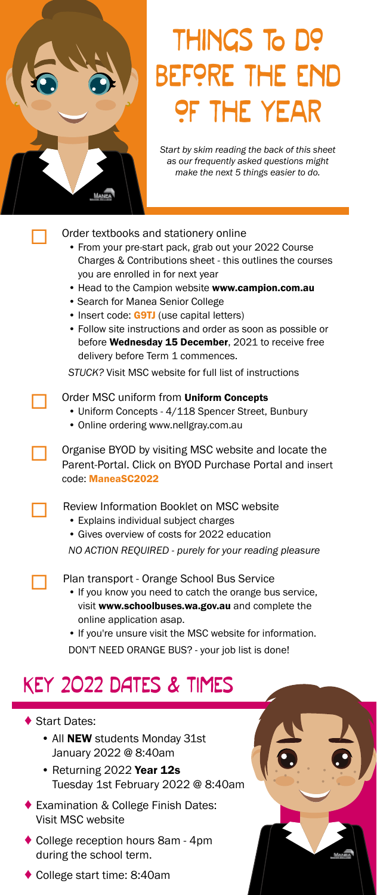

# THINGS To D? before the end of the year

*Start by skim reading the back of this sheet as our frequently asked questions might make the next 5 things easier to do.*

#### Order textbooks and stationery online

- From your pre-start pack, grab out your 2022 Course Charges & Contributions sheet - this outlines the courses you are enrolled in for next year
- Head to the Campion website www.campion.com.au
- Search for Manea Senior College
- Insert code: **G9TJ** (use capital letters)
- Follow site instructions and order as soon as possible or before Wednesday 15 December, 2021 to receive free delivery before Term 1 commences.

*STUCK?* Visit MSC website for full list of instructions

#### Order MSC uniform from Uniform Concepts

- Uniform Concepts 4/118 Spencer Street, Bunbury
- Online ordering www.nellgray.com.au

 Organise BYOD by visiting MSC website and locate the Parent-Portal. Click on BYOD Purchase Portal and insert code: ManeaSC2022

Review Information Booklet on MSC website

• Explains individual subject charges

 • Gives overview of costs for 2022 education *NO ACTION REQUIRED - purely for your reading pleasure*

Plan transport - Orange School Bus Service

- If you know you need to catch the orange bus service, visit www.schoolbuses.wa.gov.au and complete the online application asap.
- If you're unsure visit the MSC website for information.
- DON'T NEED ORANGE BUS? your job list is done!

### KEY 2022 DATES & TIMES

- ◆ Start Dates:
	- All **NEW** students Monday 31st January 2022 @ 8:40am
	- Returning 2022 Year 12s Tuesday 1st February 2022 @ 8:40am
- ♦ Examination & College Finish Dates: Visit MSC website
- ♦ College reception hours 8am 4pm during the school term.
- ♦ College start time: 8:40am